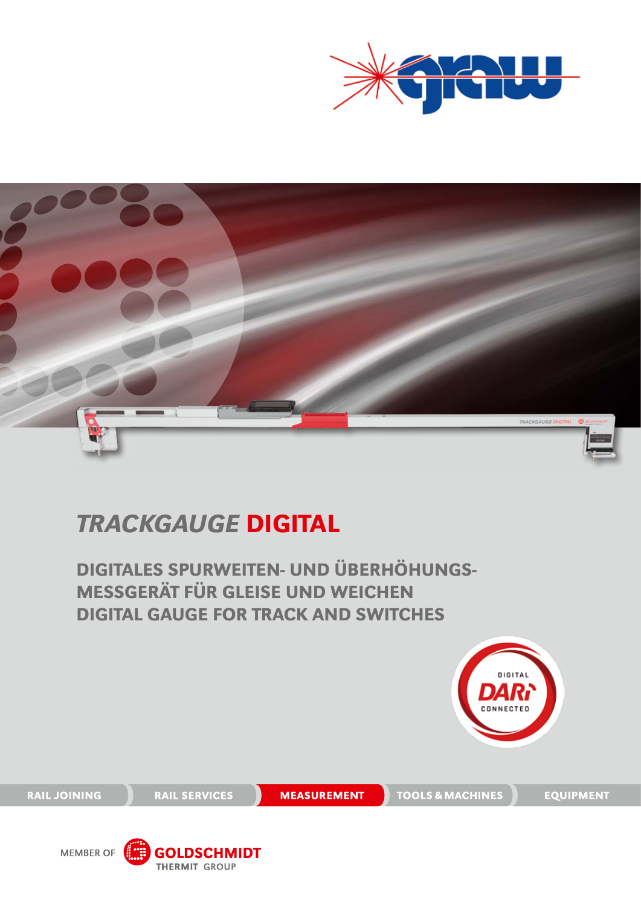



## TRACKGAUGE DIGITAL

DIGITALES SPURWEITEN- UND ÜBERHÖHUNGS-MESSGERÄT FÜR GLEISE UND WEICHEN DIGITAL GAUGE FOR TRACK AND SWITCHES



**RAIL JOINING** 

**RAIL SERVICES** 

**MEASUREMENT** 

TOOLS & MACHINES

**EQUIPMENT** 

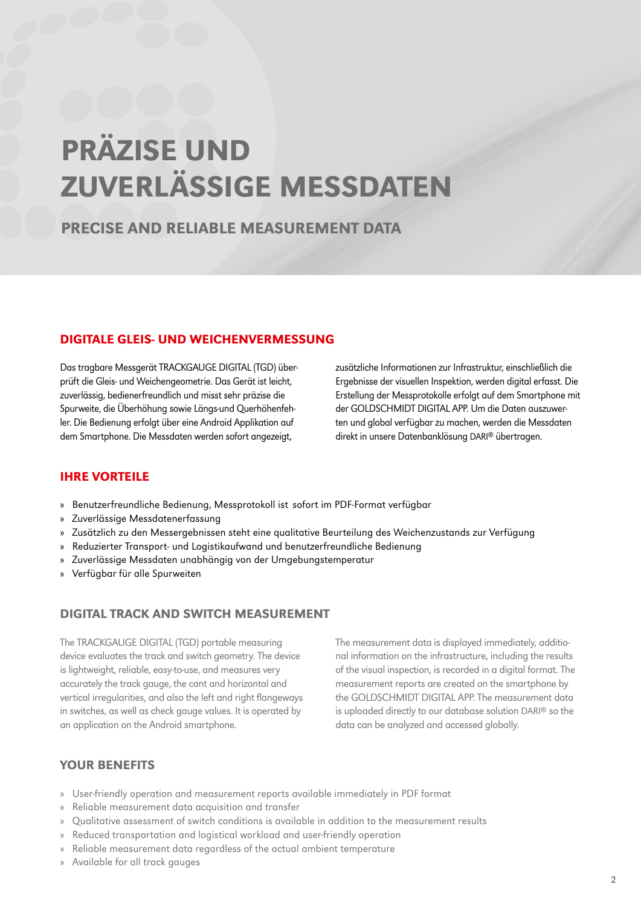## PRÄZISE UND ZUVERLÄSSIGE MESSDATEN

### PRECISE AND RELIABLE MEASUREMENT DATA

#### DIGITALE GLEIS- UND WEICHENVERMESSUNG

Das tragbare Messgerät TRACKGAUGE DIGITAL (TGD) überprüft die Gleis- und Weichengeometrie. Das Gerät ist leicht, zuverlässig, bedienerfreundlich und misst sehr präzise die Spurweite, die Überhöhung sowie Längs-und Querhöhenfehler. Die Bedienung erfolgt über eine Android Applikation auf dem Smartphone. Die Messdaten werden sofort angezeigt,

zusätzliche Informationen zur Infrastruktur, einschließlich die Ergebnisse der visuellen Inspektion, werden digital erfasst. Die Erstellung der Messprotokolle erfolgt auf dem Smartphone mit der GOLDSCHMIDT DIGITAL APP. Um die Daten auszuwerten und global verfügbar zu machen, werden die Messdaten direkt in unsere Datenbanklösung DARI® übertragen.

#### IHRE VORTEILE

- » Benutzerfreundliche Bedienung, Messprotokoll ist sofort im PDF-Format verfügbar
- » Zuverlässige Messdatenerfassung
- » Zusätzlich zu den Messergebnissen steht eine qualitative Beurteilung des Weichenzustands zur Verfügung
- » Reduzierter Transport- und Logistikaufwand und benutzerfreundliche Bedienung
- » Zuverlässige Messdaten unabhängig von der Umgebungstemperatur
- » Verfügbar für alle Spurweiten

#### DIGITAL TRACK AND SWITCH MEASUREMENT

The TRACKGAUGE DIGITAL (TGD) portable measuring device evaluates the track and switch geometry. The device is lightweight, reliable, easy-to-use, and measures very accurately the track gauge, the cant and horizontal and vertical irregularities, and also the left and right flangeways in switches, as well as check gauge values. It is operated by an application on the Android smartphone.

The measurement data is displayed immediately, additional information on the infrastructure, including the results of the visual inspection, is recorded in a digital format. The measurement reports are created on the smartphone by the GOLDSCHMIDT DIGITAL APP. The measurement data is uploaded directly to our database solution DARI® so the data can be analyzed and accessed globally.

#### YOUR BENEFITS

- » User-friendly operation and measurement reports available immediately in PDF format
- » Reliable measurement data acquisition and transfer
- » Qualitative assessment of switch conditions is available in addition to the measurement results
- » Reduced transportation and logistical workload and user-friendly operation
- » Reliable measurement data regardless of the actual ambient temperature
- » Available for all track gauges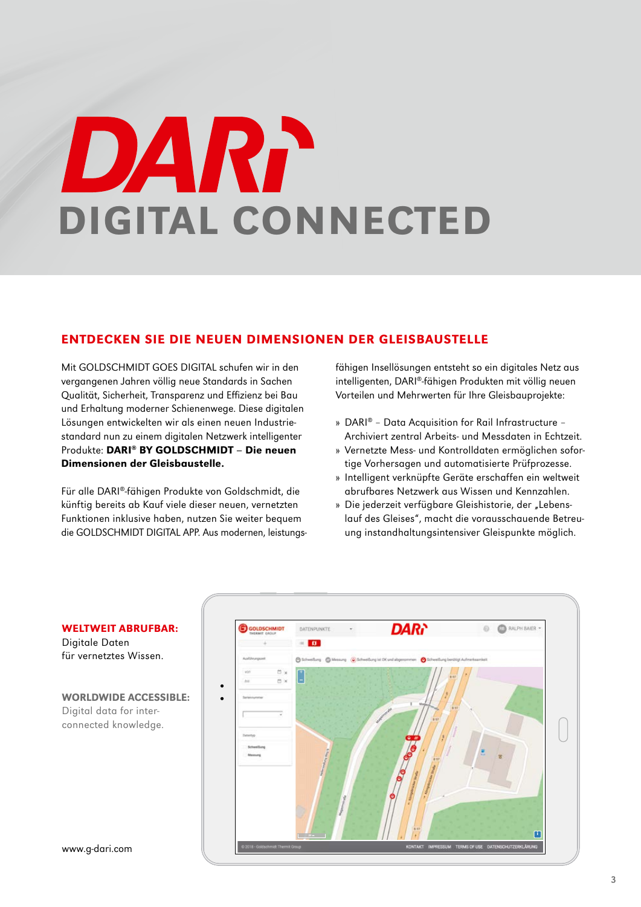# DART DIGITAL CONNECTED

#### ENTDECKEn SIE DIE NEUEN DIMENSIONEN DER GLEISBAUSTELLE

Mit GOLDSCHMIDT GOES DIGITAL schufen wir in den vergangenen Jahren völlig neue Standards in Sachen Qualität, Sicherheit, Transparenz und Effizienz bei Bau und Erhaltung moderner Schienenwege. Diese digitalen Lösungen entwickelten wir als einen neuen Industriestandard nun zu einem digitalen Netzwerk intelligenter Produkte: DARI® BY GOLDSCHMIDT – Die neuen Dimensionen der Gleisbaustelle.

Für alle DARI®-fähigen Produkte von Goldschmidt, die künftig bereits ab Kauf viele dieser neuen, vernetzten Funktionen inklusive haben, nutzen Sie weiter bequem die GOLDSCHMIDT DIGITAL APP. Aus modernen, leistungsfähigen Insellösungen entsteht so ein digitales Netz aus intelligenten, DARI®-fähigen Produkten mit völlig neuen Vorteilen und Mehrwerten für Ihre Gleisbauprojekte:

- » DARI® Data Acquisition for Rail Infrastructure Archiviert zentral Arbeits- und Messdaten in Echtzeit.
- » Vernetzte Mess- und Kontrolldaten ermöglichen sofortige Vorhersagen und automatisierte Prüfprozesse.
- » Intelligent verknüpfte Geräte erschaffen ein weltweit abrufbares Netzwerk aus Wissen und Kennzahlen.
- » Die jederzeit verfügbare Gleishistorie, der "Lebenslauf des Gleises", macht die vorausschauende Betreuung instandhaltungsintensiver Gleispunkte möglich.



weltweit abrufbar: Digitale Daten

für vernetztes Wissen.

WORLDWIDE ACCESSIBLE: Digital data for interconnected knowledge.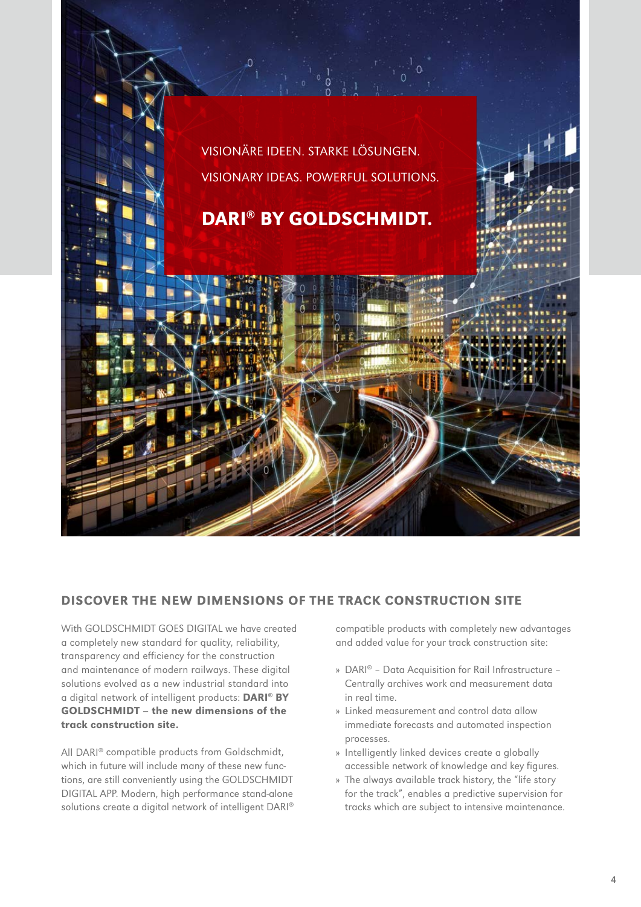

#### DISCOVER THE NEW DIMENSIONS OF THE TRACK CONSTRUCTION SITE

With GOLDSCHMIDT GOES DIGITAL we have created a completely new standard for quality, reliability, transparency and efficiency for the construction and maintenance of modern railways. These digital solutions evolved as a new industrial standard into a digital network of intelligent products: DARI® B GOLDSCHMIDT – the new dimensions of the track construction site.

All DARI® compatible products from Goldschmidt, which in future will include many of these new functions, are still conveniently using the GOLDSCHMIDT DIGITAL APP. Modern, high performance stand-alone solutions create a digital network of intelligent DARI® compatible products with completely new advantages and added value for your track construction site:

- » DARI® Data Acquisition for Rail Infrastructure Centrally archives work and measurement data in real time.
- » Linked measurement and control data allow immediate forecasts and automated inspection processes.
- » Intelligently linked devices create a globally accessible network of knowledge and key figures.
- » The always available track history, the "life story for the track", enables a predictive supervision for tracks which are subject to intensive maintenance.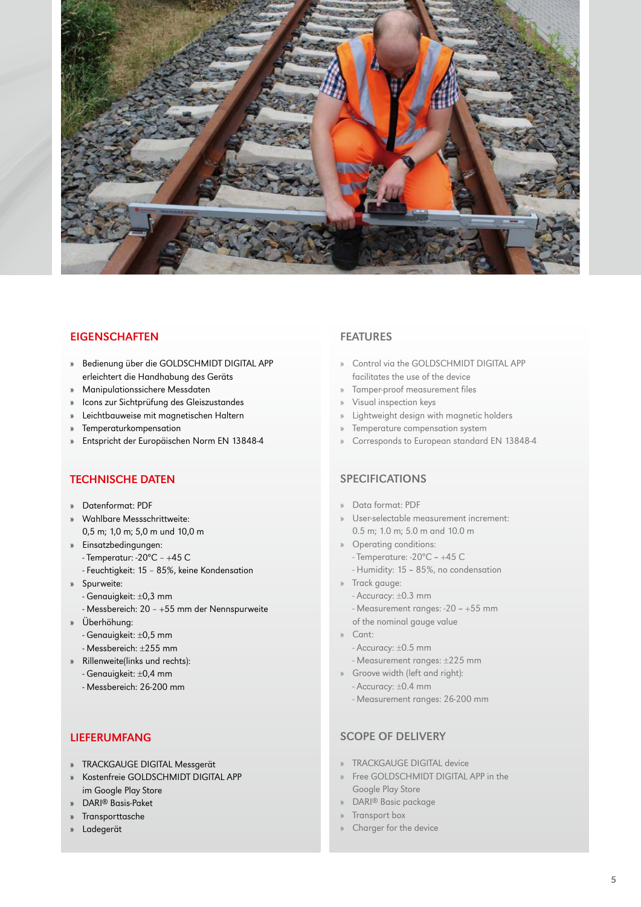

#### **EIGENSCHAFTEN**

- » Bedienung über die GOLDSCHMIDT DIGITAL APP erleichtert die Handhabung des Geräts
- » Manipulationssichere Messdaten
- » Icons zur Sichtprüfung des Gleiszustandes
- » Leichtbauweise mit magnetischen Haltern
- » Temperaturkompensation
- » Entspricht der Europäischen Norm EN 13848-4

#### TECHNISCHE DATEN

- » Datenformat: PDF
- » Wahlbare Messschrittweite: 0,5 m; 1,0 m; 5,0 m und 10,0 m
- » Einsatzbedingungen:
	- Temperatur: -20ºC +45C
	- Feuchtigkeit: 15 85%, keine Kondensation
- » Spurweite:
	- Genauigkeit: ±0,3 mm
	- Messbereich: 20 +55 mm der Nennspurweite
- » Überhöhung:
	- Genauigkeit: ±0,5 mm
	- Messbereich: ±255 mm
- » Rillenweite(links und rechts):
	- Genauigkeit: ±0,4 mm
	- Messbereich: 26-200 mm

#### LIEFERUMFANG

- » TRACKGAUGE DIGITAL Messgerät
- » Kostenfreie GOLDSCHMIDT DIGITAL APP im Google Play Store
- » DARI® Basis-Paket
- » Transporttasche
- » Ladegerät

#### FEATURES

- » Control via the GOLDSCHMIDT DIGITAL APP facilitates the use of the device
- » Tamper-proof measurement files
- » Visual inspection keys
- » Lightweight design with magnetic holders
- » Temperature compensation system
- » Corresponds to European standard EN 13848-4

#### SPECIFICATIONS

- » Data format: PDF
- » User-selectable measurement increment: 0.5 m; 1.0 m; 5.0 m and 10.0 m
- » Operating conditions:
- Temperature: -20ºC +45C
	- Humidity: 15 85%, no condensation
- » Track gauge:
	- Accuracy: ±0.3 mm
	- Measurement ranges: -20 +55 mm
	- of the nominal gauge value
- » Cant:
	- Accuracy: ±0.5 mm
	- Measurement ranges: ±225 mm
- » Groove width (left and right):
	- Accuracy: ±0.4 mm
	- Measurement ranges: 26-200 mm

#### SCOPE OF DELIVERY

- » TRACKGAUGE DIGITAL device
- » Free GOLDSCHMIDT DIGITAL APP in the Google Play Store
- » DARI® Basic package
- » Transport box
- Charger for the device